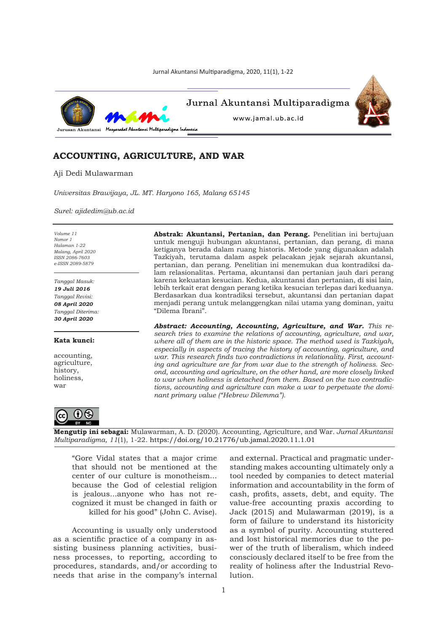Jurnal Akuntansi Multiparadigma, 2020, 11(1), 1-22



# **ACCOUNTING, AGRICULTURE, AND WAR**

Aji Dedi Mulawarman

*Universitas Brawijaya, JL. MT. Haryono 165, Malang 65145*

*Surel: ajidedim@ub.ac.id*

*Volume 11 Nomor 1 Halaman 1-22 Malang, April 2020 ISSN 2086-7603 e-ISSN 2089-5879*

*Tanggal Masuk: 19 Juli 2016 Tanggal Revisi: 08 April 2020 Tanggal Diterima: 30 April 2020*

#### **Kata kunci:**

accounting, agriculture, history, holiness, war

**Abstrak: Akuntansi, Pertanian, dan Perang.** Penelitian ini bertujuan untuk menguji hubungan akuntansi, pertanian, dan perang, di mana ketiganya berada dalam ruang historis. Metode yang digunakan adalah Tazkiyah, terutama dalam aspek pelacakan jejak sejarah akuntansi, pertanian, dan perang. Penelitian ini menemukan dua kontradiksi dalam relasionalitas. Pertama, akuntansi dan pertanian jauh dari perang karena kekuatan kesucian. Kedua, akuntansi dan pertanian, di sisi lain, lebih terkait erat dengan perang ketika kesucian terlepas dari keduanya. Berdasarkan dua kontradiksi tersebut, akuntansi dan pertanian dapat menjadi perang untuk melanggengkan nilai utama yang dominan, yaitu "Dilema Ibrani".

*Abstract: Accounting, Accounting, Agriculture, and War. This research tries to examine the relations of accounting, agriculture, and war, where all of them are in the historic space. The method used is Tazkiyah, especially in aspects of tracing the history of accounting, agriculture, and war. This research finds two contradictions in relationality. First, accounting and agriculture are far from war due to the strength of holiness. Second, accounting and agriculture, on the other hand, are more closely linked to war when holiness is detached from them. Based on the two contradictions, accounting and agriculture can make a war to perpetuate the dominant primary value ("Hebrew Dilemma").*



**Mengutip ini sebagai:** Mulawarman, A. D. (2020). Accounting, Agriculture, and War*. Jurnal Akuntansi Multiparadigma, 11*(1), 1-22. https://doi.org/10.21776/ub.jamal.2020.11.1.01

"Gore Vidal states that a major crime that should not be mentioned at the center of our culture is monotheism... because the God of celestial religion is jealous...anyone who has not recognized it must be changed in faith or killed for his good" (John C. Avise).

Accounting is usually only understood as a scientific practice of a company in assisting business planning activities, business processes, to reporting, according to procedures, standards, and/or according to needs that arise in the company's internal

and external. Practical and pragmatic understanding makes accounting ultimately only a tool needed by companies to detect material information and accountability in the form of cash, profits, assets, debt, and equity. The value-free accounting praxis according to Jack (2015) and Mulawarman (2019), is a form of failure to understand its historicity as a symbol of purity. Accounting stuttered and lost historical memories due to the power of the truth of liberalism, which indeed consciously declared itself to be free from the reality of holiness after the Industrial Revolution.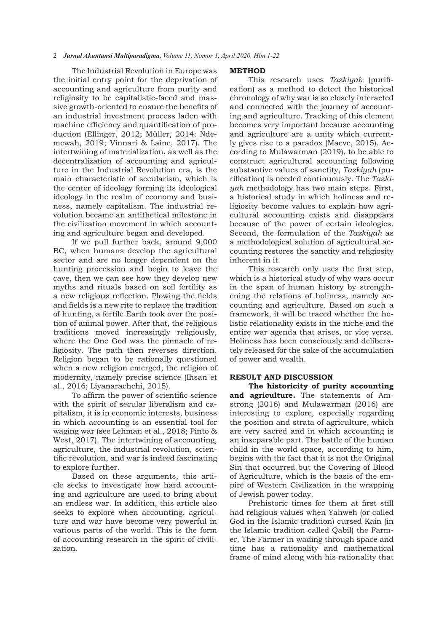## 2*Jurnal Akuntansi Multiparadigma, Volume 11, Nomor 1, April 2020, Hlm 1-22*

The Industrial Revolution in Europe was the initial entry point for the deprivation of accounting and agriculture from purity and religiosity to be capitalistic-faced and massive growth-oriented to ensure the benefits of an industrial investment process laden with machine efficiency and quantification of production (Ellinger, 2012; Müller, 2014; Ndemewah, 2019; Vinnari & Laine, 2017). The intertwining of materialization, as well as the decentralization of accounting and agriculture in the Industrial Revolution era, is the main characteristic of secularism, which is the center of ideology forming its ideological ideology in the realm of economy and business, namely capitalism. The industrial revolution became an antithetical milestone in the civilization movement in which accounting and agriculture began and developed.

If we pull further back, around 9,000 BC, when humans develop the agricultural sector and are no longer dependent on the hunting procession and begin to leave the cave, then we can see how they develop new myths and rituals based on soil fertility as a new religious reflection. Plowing the fields and fields is a new rite to replace the tradition of hunting, a fertile Earth took over the position of animal power. After that, the religious traditions moved increasingly religiously, where the One God was the pinnacle of religiosity. The path then reverses direction. Religion began to be rationally questioned when a new religion emerged, the religion of modernity, namely precise science (Ihsan et al., 2016; Liyanarachchi, 2015).

To affirm the power of scientific science with the spirit of secular liberalism and capitalism, it is in economic interests, business in which accounting is an essential tool for waging war (see Lehman et al., 2018; Pinto & West, 2017). The intertwining of accounting, agriculture, the industrial revolution, scientific revolution, and war is indeed fascinating to explore further.

Based on these arguments, this article seeks to investigate how hard accounting and agriculture are used to bring about an endless war. In addition, this article also seeks to explore when accounting, agriculture and war have become very powerful in various parts of the world. This is the form of accounting research in the spirit of civilization.

#### **METHOD**

This research uses *Tazkiyah* (purification) as a method to detect the historical chronology of why war is so closely interacted and connected with the journey of accounting and agriculture. Tracking of this element becomes very important because accounting and agriculture are a unity which currently gives rise to a paradox (Macve, 2015). According to Mulawarman (2019), to be able to construct agricultural accounting following substantive values of sanctity, *Tazkiyah* (purification) is needed continuously. The *Tazkiyah* methodology has two main steps. First, a historical study in which holiness and religiosity become values to explain how agricultural accounting exists and disappears because of the power of certain ideologies. Second, the formulation of the *Tazkiyah* as a methodological solution of agricultural accounting restores the sanctity and religiosity inherent in it.

This research only uses the first step, which is a historical study of why wars occur in the span of human history by strengthening the relations of holiness, namely accounting and agriculture. Based on such a framework, it will be traced whether the holistic relationality exists in the niche and the entire war agenda that arises, or vice versa. Holiness has been consciously and deliberately released for the sake of the accumulation of power and wealth.

## **RESULT AND DISCUSSION**

**The historicity of purity accounting and agriculture.** The statements of Amstrong (2016) and Mulawarman (2016) are interesting to explore, especially regarding the position and strata of agriculture, which are very sacred and in which accounting is an inseparable part. The battle of the human child in the world space, according to him, begins with the fact that it is not the Original Sin that occurred but the Covering of Blood of Agriculture, which is the basis of the empire of Western Civilization in the wrapping of Jewish power today.

Prehistoric times for them at first still had religious values when Yahweh (or called God in the Islamic tradition) cursed Kain (in the Islamic tradition called Qabil) the Farmer. The Farmer in wading through space and time has a rationality and mathematical frame of mind along with his rationality that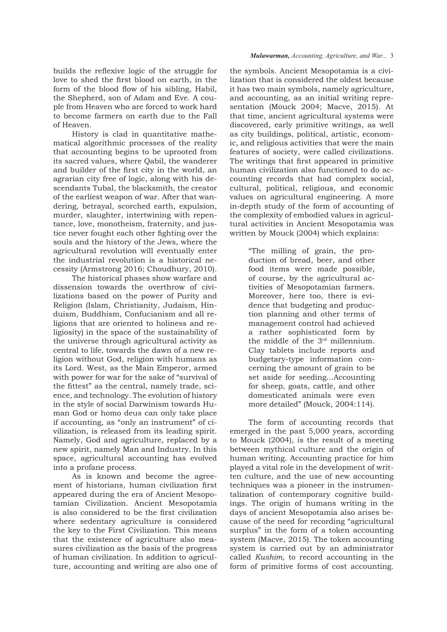builds the reflexive logic of the struggle for love to shed the first blood on earth, in the form of the blood flow of his sibling, Habil, the Shepherd, son of Adam and Eve. A couple from Heaven who are forced to work hard to become farmers on earth due to the Fall of Heaven.

History is clad in quantitative mathematical algorithmic processes of the reality that accounting begins to be uprooted from its sacred values, where Qabil, the wanderer and builder of the first city in the world, an agrarian city free of logic, along with his descendants Tubal, the blacksmith, the creator of the earliest weapon of war. After that wandering, betrayal, scorched earth, expulsion, murder, slaughter, intertwining with repentance, love, monotheism, fraternity, and justice never fought each other fighting over the souls and the history of the Jews, where the agricultural revolution will eventually enter the industrial revolution is a historical necessity (Armstrong 2016; Choudhury, 2010).

The historical phases show warfare and dissension towards the overthrow of civilizations based on the power of Purity and Religion (Islam, Christianity, Judaism, Hinduism, Buddhism, Confucianism and all religions that are oriented to holiness and religiosity) in the space of the sustainability of the universe through agricultural activity as central to life, towards the dawn of a new religion without God, religion with humans as its Lord. West, as the Main Emperor, armed with power for war for the sake of "survival of the fittest" as the central, namely trade, science, and technology. The evolution of history in the style of social Darwinism towards Human God or homo deus can only take place if accounting, as "only an instrument" of civilization, is released from its leading spirit. Namely, God and agriculture, replaced by a new spirit, namely Man and Industry. In this space, agricultural accounting has evolved into a profane process.

As is known and become the agreement of historians, human civilization first appeared during the era of Ancient Mesopotamian Civilization. Ancient Mesopotamia is also considered to be the first civilization where sedentary agriculture is considered the key to the First Civilization. This means that the existence of agriculture also measures civilization as the basis of the progress of human civilization. In addition to agriculture, accounting and writing are also one of

### *Mulawarman, Accounting, Agriculture, and War...* 3

the symbols. Ancient Mesopotamia is a civilization that is considered the oldest because it has two main symbols, namely agriculture, and accounting, as an initial writing representation (Mouck 2004; Macve, 2015). At that time, ancient agricultural systems were discovered, early primitive writings, as well as city buildings, political, artistic, economic, and religious activities that were the main features of society, were called civilizations. The writings that first appeared in primitive human civilization also functioned to do accounting records that had complex social, cultural, political, religious, and economic values on agricultural engineering. A more in-depth study of the form of accounting of the complexity of embodied values in agricultural activities in Ancient Mesopotamia was written by Mouck (2004) which explains:

> "The milling of grain, the production of bread, beer, and other food items were made possible, of course, by the agricultural activities of Mesopotamian farmers. Moreover, here too, there is evidence that budgeting and production planning and other terms of management control had achieved a rather sophisticated form by the middle of the 3rd millennium. Clay tablets include reports and budgetary-type information concerning the amount of grain to be set aside for seeding...Accounting for sheep, goats, cattle, and other domesticated animals were even more detailed" (Mouck, 2004:114).

The form of accounting records that emerged in the past 5,000 years, according to Mouck (2004), is the result of a meeting between mythical culture and the origin of human writing. Accounting practice for him played a vital role in the development of written culture, and the use of new accounting techniques was a pioneer in the instrumentalization of contemporary cognitive buildings. The origin of humans writing in the days of ancient Mesopotamia also arises because of the need for recording "agricultural surplus" in the form of a token accounting system (Macve, 2015). The token accounting system is carried out by an administrator called *Kushim,* to record accounting in the form of primitive forms of cost accounting.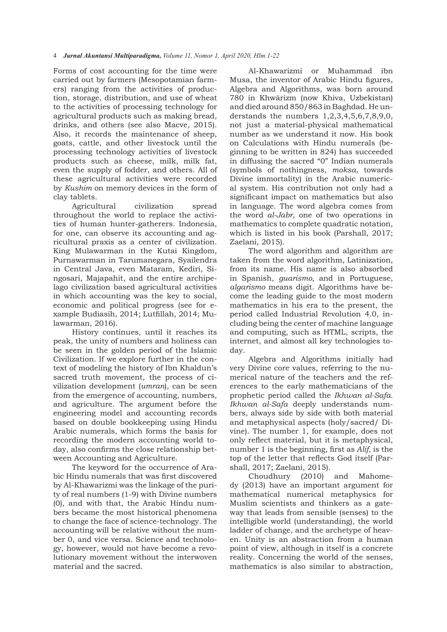Forms of cost accounting for the time were carried out by farmers (Mesopotamian farmers) ranging from the activities of production, storage, distribution, and use of wheat to the activities of processing technology for agricultural products such as making bread, drinks, and others (see also Macve, 2015). Also, it records the maintenance of sheep, goats, cattle, and other livestock until the processing technology activities of livestock products such as cheese, milk, milk fat, even the supply of fodder, and others. All of these agricultural activities were recorded by *Kushim* on memory devices in the form of clay tablets.

Agricultural civilization spread throughout the world to replace the activities of human hunter-gatherers. Indonesia, for one, can observe its accounting and agricultural praxis as a center of civilization. King Mulawarman in the Kutai Kingdom, Purnawarman in Tarumanegara, Syailendra in Central Java, even Mataram, Kediri, Singosari, Majapahit, and the entire archipelago civilization based agricultural activities in which accounting was the key to social, economic and political progress (see for example Budiasih, 2014; Lutfillah, 2014; Mulawarman, 2016).

History continues, until it reaches its peak, the unity of numbers and holiness can be seen in the golden period of the Islamic Civilization. If we explore further in the context of modeling the history of Ibn Khaldun's sacred truth movement, the process of civilization development (*umran*), can be seen from the emergence of accounting, numbers, and agriculture. The argument before the engineering model and accounting records based on double bookkeeping using Hindu Arabic numerals, which forms the basis for recording the modern accounting world today, also confirms the close relationship between Accounting and Agriculture.

The keyword for the occurrence of Arabic Hindu numerals that was first discovered by Al-Khawarizmi was the linkage of the purity of real numbers (1-9) with Divine numbers (0), and with that, the Arabic Hindu numbers became the most historical phenomena to change the face of science-technology. The accounting will be relative without the number 0, and vice versa. Science and technology, however, would not have become a revolutionary movement without the interwoven material and the sacred.

Al-Khawarizmi or Muhammad ibn Musa, the inventor of Arabic Hindu figures, Algebra and Algorithms, was born around 780 in Khwārizm (now Khiva, Uzbekistan) and died around 850/863 in Baghdad. He understands the numbers 1,2,3,4,5,6,7,8,9,0, not just a material-physical mathematical number as we understand it now. His book on Calculations with Hindu numerals (beginning to be written in 824) has succeeded in diffusing the sacred "0" Indian numerals (symbols of nothingness, *moksa*, towards Divine immortality) in the Arabic numerical system. His contribution not only had a significant impact on mathematics but also in language. The word algebra comes from the word *al-Jabr*, one of two operations in mathematics to complete quadratic notation, which is listed in his book (Parshall, 2017; Zaelani, 2015).

The word algorithm and algorithm are taken from the word algorithm, Latinization, from its name. His name is also absorbed in Spanish, *guarismo,* and in Portuguese, *algarismo* means digit. Algorithms have become the leading guide to the most modern mathematics in his era to the present, the period called Industrial Revolution 4.0, including being the center of machine language and computing, such as HTML, scripts, the internet, and almost all key technologies today.

Algebra and Algorithms initially had very Divine core values, referring to the numerical nature of the teachers and the references to the early mathematicians of the prophetic period called the *Ikhwan al-Safa. Ikhwan al-Safa* deeply understands numbers, always side by side with both material and metaphysical aspects (holy/sacred/ Divine). The number 1, for example, does not only reflect material, but it is metaphysical, number 1 is the beginning, first as *Alif*, is the top of the letter that reflects God itself (Parshall, 2017; Zaelani, 2015).

Choudhury (2010) and Mahomedy (2013) have an important argument for mathematical numerical metaphysics for Muslim scientists and thinkers as a gateway that leads from sensible (senses) to the intelligible world (understanding), the world ladder of change, and the archetype of heaven. Unity is an abstraction from a human point of view, although in itself is a concrete reality. Concerning the world of the senses, mathematics is also similar to abstraction,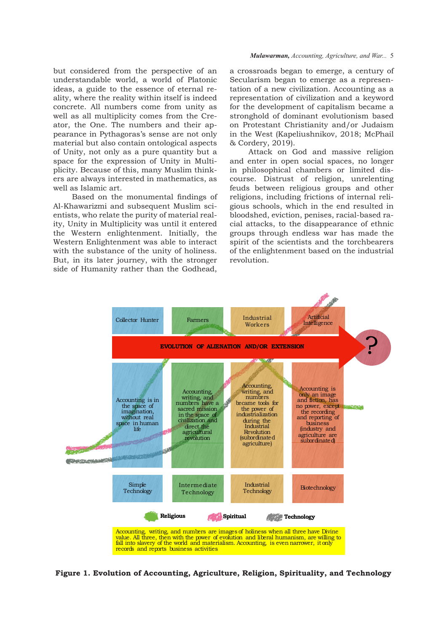but considered from the perspective of an understandable world, a world of Platonic ideas, a guide to the essence of eternal reality, where the reality within itself is indeed concrete. All numbers come from unity as well as all multiplicity comes from the Creator, the One. The numbers and their appearance in Pythagoras's sense are not only material but also contain ontological aspects of Unity, not only as a pure quantity but a space for the expression of Unity in Multiplicity. Because of this, many Muslim thinkers are always interested in mathematics, as well as Islamic art.

Based on the monumental findings of Al-Khawarizmi and subsequent Muslim scientists, who relate the purity of material reality, Unity in Multiplicity was until it entered the Western enlightenment. Initially, the Western Enlightenment was able to interact with the substance of the unity of holiness. But, in its later journey, with the stronger side of Humanity rather than the Godhead,

a crossroads began to emerge, a century of Secularism began to emerge as a representation of a new civilization. Accounting as a representation of civilization and a keyword for the development of capitalism became a stronghold of dominant evolutionism based on Protestant Christianity and/or Judaism in the West (Kapeliushnikov, 2018; McPhail & Cordery, 2019).

Attack on God and massive religion and enter in open social spaces, no longer in philosophical chambers or limited discourse. Distrust of religion, unrelenting feuds between religious groups and other religions, including frictions of internal religious schools, which in the end resulted in bloodshed, eviction, penises, racial-based racial attacks, to the disappearance of ethnic groups through endless war has made the spirit of the scientists and the torchbearers of the enlightenment based on the industrial revolution.



**Figure 1. Evolution of Accounting, Agriculture, Religion, Spirituality, and Technology**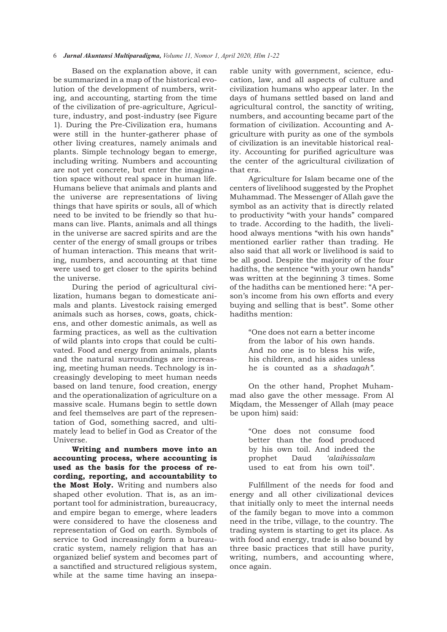## 6*Jurnal Akuntansi Multiparadigma, Volume 11, Nomor 1, April 2020, Hlm 1-22*

Based on the explanation above, it can be summarized in a map of the historical evolution of the development of numbers, writing, and accounting, starting from the time of the civilization of pre-agriculture, Agriculture, industry, and post-industry (see Figure 1). During the Pre-Civilization era, humans were still in the hunter-gatherer phase of other living creatures, namely animals and plants. Simple technology began to emerge, including writing. Numbers and accounting are not yet concrete, but enter the imagination space without real space in human life. Humans believe that animals and plants and the universe are representations of living things that have spirits or souls, all of which need to be invited to be friendly so that humans can live. Plants, animals and all things in the universe are sacred spirits and are the center of the energy of small groups or tribes of human interaction. This means that writing, numbers, and accounting at that time were used to get closer to the spirits behind the universe.

During the period of agricultural civilization, humans began to domesticate animals and plants. Livestock raising emerged animals such as horses, cows, goats, chickens, and other domestic animals, as well as farming practices, as well as the cultivation of wild plants into crops that could be cultivated. Food and energy from animals, plants and the natural surroundings are increasing, meeting human needs. Technology is increasingly developing to meet human needs based on land tenure, food creation, energy and the operationalization of agriculture on a massive scale. Humans begin to settle down and feel themselves are part of the representation of God, something sacred, and ultimately lead to belief in God as Creator of the Universe.

**Writing and numbers move into an accounting process, where accounting is used as the basis for the process of recording, reporting, and accountability to the Most Holy.** Writing and numbers also shaped other evolution. That is, as an important tool for administration, bureaucracy, and empire began to emerge, where leaders were considered to have the closeness and representation of God on earth. Symbols of service to God increasingly form a bureaucratic system, namely religion that has an organized belief system and becomes part of a sanctified and structured religious system, while at the same time having an inseparable unity with government, science, education, law, and all aspects of culture and civilization humans who appear later. In the days of humans settled based on land and agricultural control, the sanctity of writing, numbers, and accounting became part of the formation of civilization. Accounting and Agriculture with purity as one of the symbols of civilization is an inevitable historical reality. Accounting for purified agriculture was the center of the agricultural civilization of that era.

Agriculture for Islam became one of the centers of livelihood suggested by the Prophet Muhammad. The Messenger of Allah gave the symbol as an activity that is directly related to productivity "with your hands" compared to trade. According to the hadith, the livelihood always mentions "with his own hands" mentioned earlier rather than trading. He also said that all work or livelihood is said to be all good. Despite the majority of the four hadiths, the sentence "with your own hands" was written at the beginning 3 times. Some of the hadiths can be mentioned here: "A person's income from his own efforts and every buying and selling that is best". Some other hadiths mention:

> "One does not earn a better income from the labor of his own hands. And no one is to bless his wife, his children, and his aides unless he is counted as a *shadaqah".*

On the other hand, Prophet Muhammad also gave the other message. From Al Miqdam, the Messenger of Allah (may peace be upon him) said:

> "One does not consume food better than the food produced by his own toil. And indeed the prophet Daud *'alaihissalam*  used to eat from his own toil".

Fulfillment of the needs for food and energy and all other civilizational devices that initially only to meet the internal needs of the family began to move into a common need in the tribe, village, to the country. The trading system is starting to get its place. As with food and energy, trade is also bound by three basic practices that still have purity, writing, numbers, and accounting where, once again.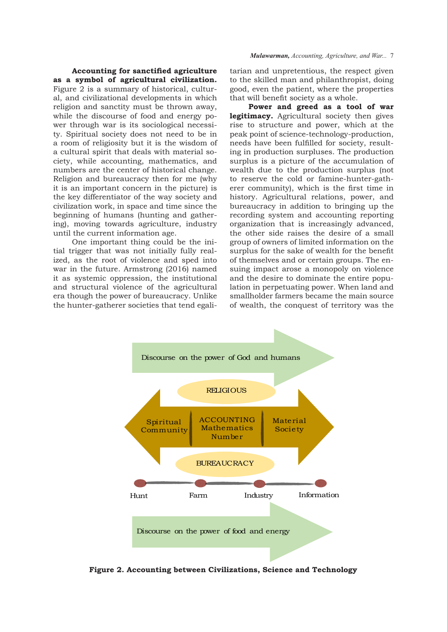**Accounting for sanctified agriculture as a symbol of agricultural civilization.**  Figure 2 is a summary of historical, cultural, and civilizational developments in which religion and sanctity must be thrown away, while the discourse of food and energy power through war is its sociological necessity. Spiritual society does not need to be in a room of religiosity but it is the wisdom of a cultural spirit that deals with material society, while accounting, mathematics, and numbers are the center of historical change. Religion and bureaucracy then for me (why it is an important concern in the picture) is the key differentiator of the way society and civilization work, in space and time since the beginning of humans (hunting and gathering), moving towards agriculture, industry until the current information age.

One important thing could be the initial trigger that was not initially fully realized, as the root of violence and sped into war in the future. Armstrong (2016) named it as systemic oppression, the institutional and structural violence of the agricultural era though the power of bureaucracy. Unlike the hunter-gatherer societies that tend egalitarian and unpretentious, the respect given to the skilled man and philanthropist, doing good, even the patient, where the properties that will benefit society as a whole.

**Power and greed as a tool of war legitimacy.** Agricultural society then gives rise to structure and power, which at the peak point of science-technology-production, needs have been fulfilled for society, resulting in production surpluses. The production surplus is a picture of the accumulation of wealth due to the production surplus (not to reserve the cold or famine-hunter-gatherer community), which is the first time in history. Agricultural relations, power, and bureaucracy in addition to bringing up the recording system and accounting reporting organization that is increasingly advanced, the other side raises the desire of a small group of owners of limited information on the surplus for the sake of wealth for the benefit of themselves and or certain groups. The ensuing impact arose a monopoly on violence and the desire to dominate the entire population in perpetuating power. When land and smallholder farmers became the main source of wealth, the conquest of territory was the



**Figure 2. Accounting between Civilizations, Science and Technology**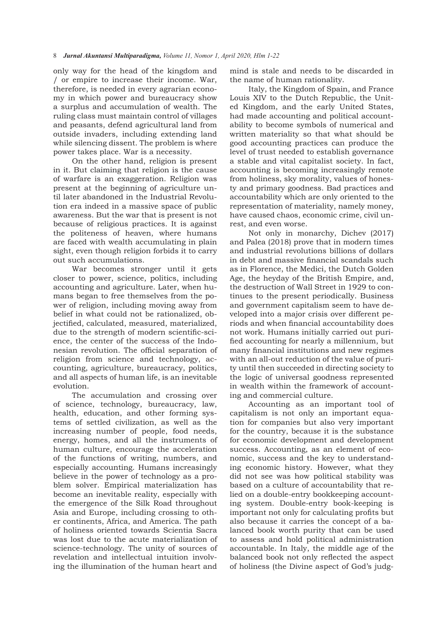only way for the head of the kingdom and / or empire to increase their income. War, therefore, is needed in every agrarian economy in which power and bureaucracy show a surplus and accumulation of wealth. The ruling class must maintain control of villages and peasants, defend agricultural land from outside invaders, including extending land while silencing dissent. The problem is where power takes place. War is a necessity.

On the other hand, religion is present in it. But claiming that religion is the cause of warfare is an exaggeration. Religion was present at the beginning of agriculture until later abandoned in the Industrial Revolution era indeed in a massive space of public awareness. But the war that is present is not because of religious practices. It is against the politeness of heaven, where humans are faced with wealth accumulating in plain sight, even though religion forbids it to carry out such accumulations.

War becomes stronger until it gets closer to power, science, politics, including accounting and agriculture. Later, when humans began to free themselves from the power of religion, including moving away from belief in what could not be rationalized, objectified, calculated, measured, materialized, due to the strength of modern scientific-science, the center of the success of the Indonesian revolution. The official separation of religion from science and technology, accounting, agriculture, bureaucracy, politics, and all aspects of human life, is an inevitable evolution.

The accumulation and crossing over of science, technology, bureaucracy, law, health, education, and other forming systems of settled civilization, as well as the increasing number of people, food needs, energy, homes, and all the instruments of human culture, encourage the acceleration of the functions of writing, numbers, and especially accounting. Humans increasingly believe in the power of technology as a problem solver. Empirical materialization has become an inevitable reality, especially with the emergence of the Silk Road throughout Asia and Europe, including crossing to other continents, Africa, and America. The path of holiness oriented towards Scientia Sacra was lost due to the acute materialization of science-technology. The unity of sources of revelation and intellectual intuition involving the illumination of the human heart and

mind is stale and needs to be discarded in the name of human rationality.

Italy, the Kingdom of Spain, and France Louis XIV to the Dutch Republic, the United Kingdom, and the early United States, had made accounting and political accountability to become symbols of numerical and written materiality so that what should be good accounting practices can produce the level of trust needed to establish governance a stable and vital capitalist society. In fact, accounting is becoming increasingly remote from holiness, sky morality, values of honesty and primary goodness. Bad practices and accountability which are only oriented to the representation of materiality, namely money, have caused chaos, economic crime, civil unrest, and even worse.

Not only in monarchy, Dichev (2017) and Palea (2018) prove that in modern times and industrial revolutions billions of dollars in debt and massive financial scandals such as in Florence, the Medici, the Dutch Golden Age, the heyday of the British Empire, and, the destruction of Wall Street in 1929 to continues to the present periodically. Business and government capitalism seem to have developed into a major crisis over different periods and when financial accountability does not work. Humans initially carried out purified accounting for nearly a millennium, but many financial institutions and new regimes with an all-out reduction of the value of purity until then succeeded in directing society to the logic of universal goodness represented in wealth within the framework of accounting and commercial culture.

Accounting as an important tool of capitalism is not only an important equation for companies but also very important for the country, because it is the substance for economic development and development success. Accounting, as an element of economic, success and the key to understanding economic history. However, what they did not see was how political stability was based on a culture of accountability that relied on a double-entry bookkeeping accounting system. Double-entry book-keeping is important not only for calculating profits but also because it carries the concept of a balanced book worth purity that can be used to assess and hold political administration accountable. In Italy, the middle age of the balanced book not only reflected the aspect of holiness (the Divine aspect of God's judg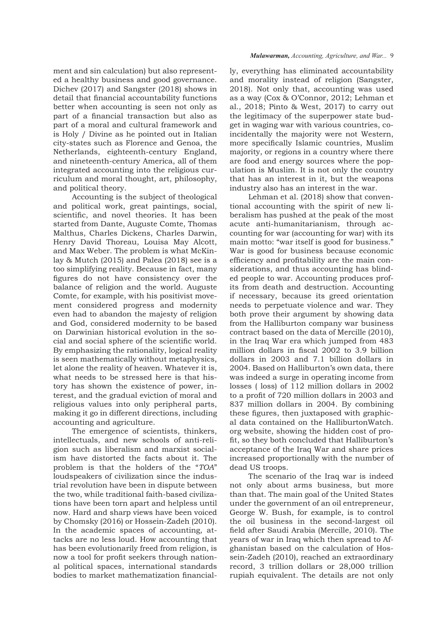ment and sin calculation) but also represented a healthy business and good governance. Dichev (2017) and Sangster (2018) shows in detail that financial accountability functions better when accounting is seen not only as part of a financial transaction but also as part of a moral and cultural framework and is Holy / Divine as he pointed out in Italian city-states such as Florence and Genoa, the Netherlands, eighteenth-century England, and nineteenth-century America, all of them integrated accounting into the religious curriculum and moral thought, art, philosophy, and political theory.

Accounting is the subject of theological and political work, great paintings, social, scientific, and novel theories. It has been started from Dante, Auguste Comte, Thomas Malthus, Charles Dickens, Charles Darwin, Henry David Thoreau, Louisa May Alcott, and Max Weber. The problem is what McKinlay & Mutch (2015) and Palea (2018) see is a too simplifying reality. Because in fact, many figures do not have consistency over the balance of religion and the world. Auguste Comte, for example, with his positivist movement considered progress and modernity even had to abandon the majesty of religion and God, considered modernity to be based on Darwinian historical evolution in the social and social sphere of the scientific world. By emphasizing the rationality, logical reality is seen mathematically without metaphysics, let alone the reality of heaven. Whatever it is, what needs to be stressed here is that history has shown the existence of power, interest, and the gradual eviction of moral and religious values into only peripheral parts, making it go in different directions, including accounting and agriculture.

The emergence of scientists, thinkers, intellectuals, and new schools of anti-religion such as liberalism and marxist socialism have distorted the facts about it. The problem is that the holders of the "*TOA*" loudspeakers of civilization since the industrial revolution have been in dispute between the two, while traditional faith-based civilizations have been torn apart and helpless until now. Hard and sharp views have been voiced by Chomsky (2016) or Hossein-Zadeh (2010). In the academic spaces of accounting, attacks are no less loud. How accounting that has been evolutionarily freed from religion, is now a tool for profit seekers through national political spaces, international standards bodies to market mathematization financial-

#### *Mulawarman, Accounting, Agriculture, and War...* 9

ly, everything has eliminated accountability and morality instead of religion (Sangster, 2018). Not only that, accounting was used as a way (Cox & O'Connor, 2012; Lehman et al., 2018; Pinto & West, 2017) to carry out the legitimacy of the superpower state budget in waging war with various countries, coincidentally the majority were not Western, more specifically Islamic countries, Muslim majority, or regions in a country where there are food and energy sources where the population is Muslim. It is not only the country that has an interest in it, but the weapons industry also has an interest in the war.

Lehman et al. (2018) show that conventional accounting with the spirit of new liberalism has pushed at the peak of the most acute anti-humanitarianism, through accounting for war (accounting for war) with its main motto: "war itself is good for business." War is good for business because economic efficiency and profitability are the main considerations, and thus accounting has blinded people to war. Accounting produces profits from death and destruction. Accounting if necessary, because its greed orientation needs to perpetuate violence and war. They both prove their argument by showing data from the Halliburton company war business contract based on the data of Mercille (2010), in the Iraq War era which jumped from 483 million dollars in fiscal 2002 to 3.9 billion dollars in 2003 and 7.1 billion dollars in 2004. Based on Halliburton's own data, there was indeed a surge in operating income from losses ( loss) of 112 million dollars in 2002 to a profit of 720 million dollars in 2003 and 837 million dollars in 2004. By combining these figures, then juxtaposed with graphical data contained on the HalliburtonWatch. org website, showing the hidden cost of profit, so they both concluded that Halliburton's acceptance of the Iraq War and share prices increased proportionally with the number of dead US troops.

The scenario of the Iraq war is indeed not only about arms business, but more than that. The main goal of the United States under the government of an oil entrepreneur, George W. Bush, for example, is to control the oil business in the second-largest oil field after Saudi Arabia (Mercille, 2010). The years of war in Iraq which then spread to Afghanistan based on the calculation of Hossein-Zadeh (2010), reached an extraordinary record, 3 trillion dollars or 28,000 trillion rupiah equivalent. The details are not only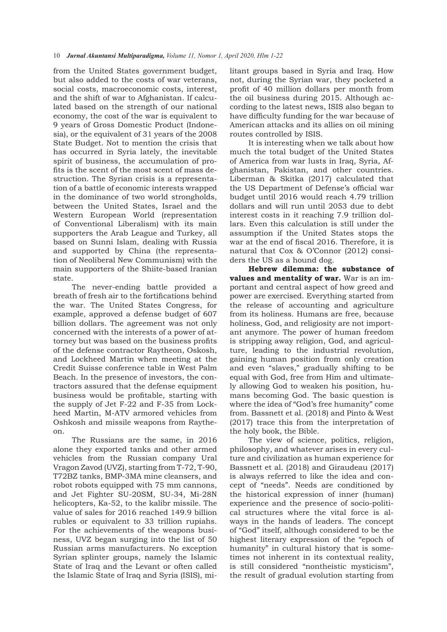from the United States government budget, but also added to the costs of war veterans, social costs, macroeconomic costs, interest, and the shift of war to Afghanistan. If calculated based on the strength of our national economy, the cost of the war is equivalent to 9 years of Gross Domestic Product (Indonesia), or the equivalent of 31 years of the 2008 State Budget. Not to mention the crisis that has occurred in Syria lately, the inevitable spirit of business, the accumulation of profits is the scent of the most scent of mass destruction. The Syrian crisis is a representation of a battle of economic interests wrapped in the dominance of two world strongholds, between the United States, Israel and the Western European World (representation of Conventional Liberalism) with its main supporters the Arab League and Turkey, all based on Sunni Islam, dealing with Russia and supported by China (the representation of Neoliberal New Communism) with the main supporters of the Shiite-based Iranian state.

The never-ending battle provided a breath of fresh air to the fortifications behind the war. The United States Congress, for example, approved a defense budget of 607 billion dollars. The agreement was not only concerned with the interests of a power of attorney but was based on the business profits of the defense contractor Raytheon, Oskosh, and Lockheed Martin when meeting at the Credit Suisse conference table in West Palm Beach. In the presence of investors, the contractors assured that the defense equipment business would be profitable, starting with the supply of Jet F-22 and F-35 from Lockheed Martin, M-ATV armored vehicles from Oshkosh and missile weapons from Raytheon.

The Russians are the same, in 2016 alone they exported tanks and other armed vehicles from the Russian company Ural Vragon Zavod (UVZ), starting from T-72, T-90, T72BZ tanks, BMP-3MA mine cleansers, and robot robots equipped with 75 mm cannons, and Jet Fighter SU-20SM, SU-34, Mi-28N helicopters, Ka-52, to the kalibr missile. The value of sales for 2016 reached 149.9 billion rubles or equivalent to 33 trillion rupiahs. For the achievements of the weapons business, UVZ began surging into the list of 50 Russian arms manufacturers. No exception Syrian splinter groups, namely the Islamic State of Iraq and the Levant or often called the Islamic State of Iraq and Syria (ISIS), militant groups based in Syria and Iraq. How not, during the Syrian war, they pocketed a profit of 40 million dollars per month from the oil business during 2015. Although according to the latest news, ISIS also began to have difficulty funding for the war because of American attacks and its allies on oil mining routes controlled by ISIS.

It is interesting when we talk about how much the total budget of the United States of America from war lusts in Iraq, Syria, Afghanistan, Pakistan, and other countries. Liberman & Skitka (2017) calculated that the US Department of Defense's official war budget until 2016 would reach 4.79 trillion dollars and will run until 2053 due to debt interest costs in it reaching 7.9 trillion dollars. Even this calculation is still under the assumption if the United States stops the war at the end of fiscal 2016. Therefore, it is natural that Cox & O'Connor (2012) considers the US as a hound dog.

**Hebrew dilemma: the substance of values and mentality of war.** War is an important and central aspect of how greed and power are exercised. Everything started from the release of accounting and agriculture from its holiness. Humans are free, because holiness, God, and religiosity are not important anymore. The power of human freedom is stripping away religion, God, and agriculture, leading to the industrial revolution, gaining human position from only creation and even "slaves," gradually shifting to be equal with God, free from Him and ultimately allowing God to weaken his position, humans becoming God. The basic question is where the idea of "God's free humanity" come from. Bassnett et al. (2018) and Pinto & West (2017) trace this from the interpretation of the holy book, the Bible.

The view of science, politics, religion, philosophy, and whatever arises in every culture and civilization as human experience for Bassnett et al. (2018) and Giraudeau (2017) is always referred to like the idea and concept of "needs". Needs are conditioned by the historical expression of inner (human) experience and the presence of socio-political structures where the vital force is always in the hands of leaders. The concept of "God" itself, although considered to be the highest literary expression of the "epoch of humanity" in cultural history that is sometimes not inherent in its contextual reality, is still considered "nontheistic mysticism", the result of gradual evolution starting from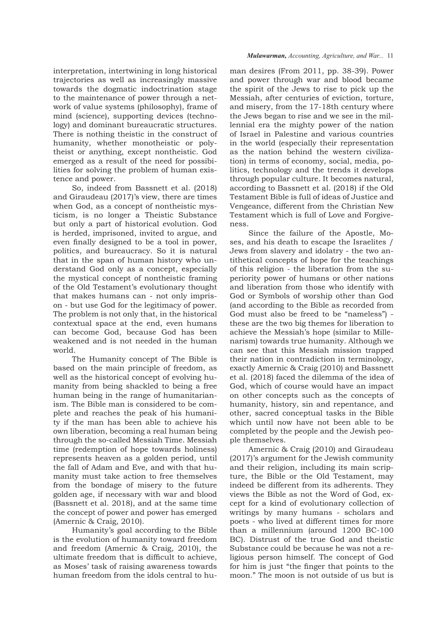interpretation, intertwining in long historical trajectories as well as increasingly massive towards the dogmatic indoctrination stage to the maintenance of power through a network of value systems (philosophy), frame of mind (science), supporting devices (technology) and dominant bureaucratic structures. There is nothing theistic in the construct of humanity, whether monotheistic or polytheist or anything, except nontheistic. God emerged as a result of the need for possibilities for solving the problem of human existence and power.

So, indeed from Bassnett et al. (2018) and Giraudeau (2017)'s view, there are times when God, as a concept of nontheistic mysticism, is no longer a Theistic Substance but only a part of historical evolution. God is herded, imprisoned, invited to argue, and even finally designed to be a tool in power, politics, and bureaucracy. So it is natural that in the span of human history who understand God only as a concept, especially the mystical concept of nontheistic framing of the Old Testament's evolutionary thought that makes humans can - not only imprison - but use God for the legitimacy of power. The problem is not only that, in the historical contextual space at the end, even humans can become God, because God has been weakened and is not needed in the human world.

The Humanity concept of The Bible is based on the main principle of freedom, as well as the historical concept of evolving humanity from being shackled to being a free human being in the range of humanitarianism. The Bible man is considered to be complete and reaches the peak of his humanity if the man has been able to achieve his own liberation, becoming a real human being through the so-called Messiah Time. Messiah time (redemption of hope towards holiness) represents heaven as a golden period, until the fall of Adam and Eve, and with that humanity must take action to free themselves from the bondage of misery to the future golden age, if necessary with war and blood (Bassnett et al. 2018), and at the same time the concept of power and power has emerged (Amernic & Craig, 2010).

Humanity's goal according to the Bible is the evolution of humanity toward freedom and freedom (Amernic & Craig, 2010), the ultimate freedom that is difficult to achieve, as Moses' task of raising awareness towards human freedom from the idols central to hu-

#### *Mulawarman, Accounting, Agriculture, and War...* 11

man desires (From 2011, pp. 38-39). Power and power through war and blood became the spirit of the Jews to rise to pick up the Messiah, after centuries of eviction, torture, and misery, from the 17-18th century where the Jews began to rise and we see in the millennial era the mighty power of the nation of Israel in Palestine and various countries in the world (especially their representation as the nation behind the western civilization) in terms of economy, social, media, politics, technology and the trends it develops through popular culture. It becomes natural, according to Bassnett et al. (2018) if the Old Testament Bible is full of ideas of Justice and Vengeance, different from the Christian New Testament which is full of Love and Forgiveness.

Since the failure of the Apostle, Moses, and his death to escape the Israelites / Jews from slavery and idolatry - the two antithetical concepts of hope for the teachings of this religion - the liberation from the superiority power of humans or other nations and liberation from those who identify with God or Symbols of worship other than God (and according to the Bible as recorded from God must also be freed to be "nameless") these are the two big themes for liberation to achieve the Messiah's hope (similar to Millenarism) towards true humanity. Although we can see that this Messiah mission trapped their nation in contradiction in terminology, exactly Amernic & Craig (2010) and Bassnett et al. (2018) faced the dilemma of the idea of God, which of course would have an impact on other concepts such as the concepts of humanity, history, sin and repentance, and other, sacred conceptual tasks in the Bible which until now have not been able to be completed by the people and the Jewish people themselves.

Amernic & Craig (2010) and Giraudeau (2017)'s argument for the Jewish community and their religion, including its main scripture, the Bible or the Old Testament, may indeed be different from its adherents. They views the Bible as not the Word of God, except for a kind of evolutionary collection of writings by many humans - scholars and poets - who lived at different times for more than a millennium (around 1200 BC-100 BC). Distrust of the true God and theistic Substance could be because he was not a religious person himself. The concept of God for him is just "the finger that points to the moon." The moon is not outside of us but is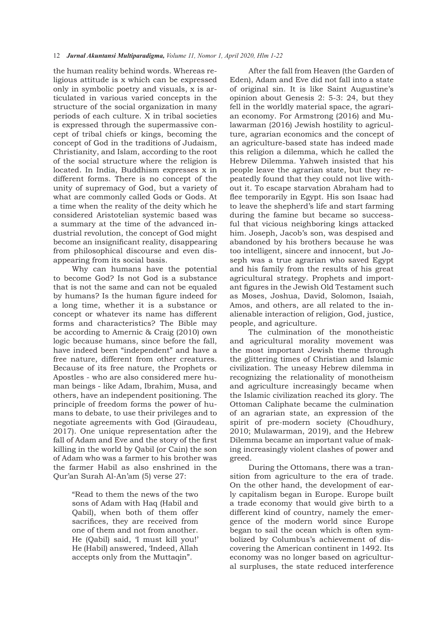the human reality behind words. Whereas religious attitude is x which can be expressed only in symbolic poetry and visuals, x is articulated in various varied concepts in the structure of the social organization in many periods of each culture. X in tribal societies is expressed through the supermassive concept of tribal chiefs or kings, becoming the concept of God in the traditions of Judaism, Christianity, and Islam, according to the root of the social structure where the religion is located. In India, Buddhism expresses x in different forms. There is no concept of the unity of supremacy of God, but a variety of what are commonly called Gods or Gods. At a time when the reality of the deity which he considered Aristotelian systemic based was a summary at the time of the advanced industrial revolution, the concept of God might become an insignificant reality, disappearing from philosophical discourse and even disappearing from its social basis.

Why can humans have the potential to become God? Is not God is a substance that is not the same and can not be equaled by humans? Is the human figure indeed for a long time, whether it is a substance or concept or whatever its name has different forms and characteristics? The Bible may be according to Amernic & Craig (2010) own logic because humans, since before the fall, have indeed been "independent" and have a free nature, different from other creatures. Because of its free nature, the Prophets or Apostles - who are also considered mere human beings - like Adam, Ibrahim, Musa, and others, have an independent positioning. The principle of freedom forms the power of humans to debate, to use their privileges and to negotiate agreements with God (Giraudeau, 2017). One unique representation after the fall of Adam and Eve and the story of the first killing in the world by Qabil (or Cain) the son of Adam who was a farmer to his brother was the farmer Habil as also enshrined in the Qur'an Surah Al-An'am (5) verse 27:

> "Read to them the news of the two sons of Adam with Haq (Habil and Qabil), when both of them offer sacrifices, they are received from one of them and not from another. He (Qabil) said, 'I must kill you!' He (Habil) answered, 'Indeed, Allah accepts only from the Muttaqin".

After the fall from Heaven (the Garden of Eden), Adam and Eve did not fall into a state of original sin. It is like Saint Augustine's opinion about Genesis 2: 5-3: 24, but they fell in the worldly material space, the agrarian economy. For Armstrong (2016) and Mulawarman (2016) Jewish hostility to agriculture, agrarian economics and the concept of an agriculture-based state has indeed made this religion a dilemma, which he called the Hebrew Dilemma. Yahweh insisted that his people leave the agrarian state, but they repeatedly found that they could not live without it. To escape starvation Abraham had to flee temporarily in Egypt. His son Isaac had to leave the shepherd's life and start farming during the famine but became so successful that vicious neighboring kings attacked him. Joseph, Jacob's son, was despised and abandoned by his brothers because he was too intelligent, sincere and innocent, but Joseph was a true agrarian who saved Egypt and his family from the results of his great agricultural strategy. Prophets and important figures in the Jewish Old Testament such as Moses, Joshua, David, Solomon, Isaiah, Amos, and others, are all related to the inalienable interaction of religion, God, justice, people, and agriculture.

The culmination of the monotheistic and agricultural morality movement was the most important Jewish theme through the glittering times of Christian and Islamic civilization. The uneasy Hebrew dilemma in recognizing the relationality of monotheism and agriculture increasingly became when the Islamic civilization reached its glory. The Ottoman Caliphate became the culmination of an agrarian state, an expression of the spirit of pre-modern society (Choudhury, 2010; Mulawarman, 2019), and the Hebrew Dilemma became an important value of making increasingly violent clashes of power and greed.

During the Ottomans, there was a transition from agriculture to the era of trade. On the other hand, the development of early capitalism began in Europe. Europe built a trade economy that would give birth to a different kind of country, namely the emergence of the modern world since Europe began to sail the ocean which is often symbolized by Columbus's achievement of discovering the American continent in 1492. Its economy was no longer based on agricultural surpluses, the state reduced interference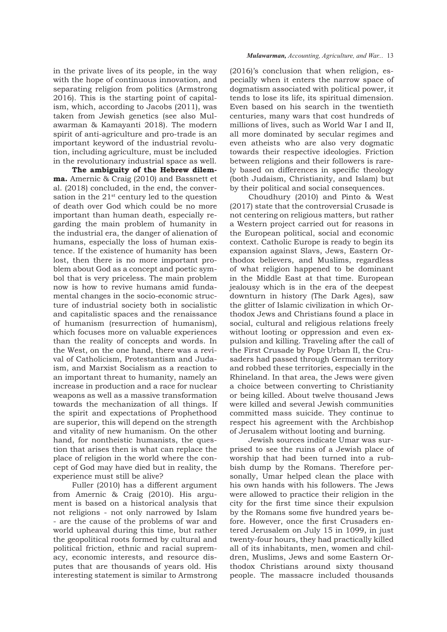in the private lives of its people, in the way with the hope of continuous innovation, and separating religion from politics (Armstrong 2016). This is the starting point of capitalism, which, according to Jacobs (2011), was taken from Jewish genetics (see also Mulawarman & Kamayanti 2018). The modern spirit of anti-agriculture and pro-trade is an important keyword of the industrial revolution, including agriculture, must be included in the revolutionary industrial space as well.

**The ambiguity of the Hebrew dilemma.** Amernic & Craig (2010) and Bassnett et al. (2018) concluded, in the end, the conversation in the  $21<sup>st</sup>$  century led to the question of death over God which could be no more important than human death, especially regarding the main problem of humanity in the industrial era, the danger of alienation of humans, especially the loss of human existence. If the existence of humanity has been lost, then there is no more important problem about God as a concept and poetic symbol that is very priceless. The main problem now is how to revive humans amid fundamental changes in the socio-economic structure of industrial society both in socialistic and capitalistic spaces and the renaissance of humanism (resurrection of humanism), which focuses more on valuable experiences than the reality of concepts and words. In the West, on the one hand, there was a revival of Catholicism, Protestantism and Judaism, and Marxist Socialism as a reaction to an important threat to humanity, namely an increase in production and a race for nuclear weapons as well as a massive transformation towards the mechanization of all things. If the spirit and expectations of Prophethood are superior, this will depend on the strength and vitality of new humanism. On the other hand, for nontheistic humanists, the question that arises then is what can replace the place of religion in the world where the concept of God may have died but in reality, the experience must still be alive?

Fuller (2010) has a different argument from Amernic & Craig (2010). His argument is based on a historical analysis that not religions - not only narrowed by Islam - are the cause of the problems of war and world upheaval during this time, but rather the geopolitical roots formed by cultural and political friction, ethnic and racial supremacy, economic interests, and resource disputes that are thousands of years old. His interesting statement is similar to Armstrong

#### *Mulawarman, Accounting, Agriculture, and War...* 13

(2016)'s conclusion that when religion, especially when it enters the narrow space of dogmatism associated with political power, it tends to lose its life, its spiritual dimension. Even based on his search in the twentieth centuries, many wars that cost hundreds of millions of lives, such as World War I and II, all more dominated by secular regimes and even atheists who are also very dogmatic towards their respective ideologies. Friction between religions and their followers is rarely based on differences in specific theology (both Judaism, Christianity, and Islam) but by their political and social consequences.

Choudhury (2010) and Pinto & West (2017) state that the controversial Crusade is not centering on religious matters, but rather a Western project carried out for reasons in the European political, social and economic context. Catholic Europe is ready to begin its expansion against Slavs, Jews, Eastern Orthodox believers, and Muslims, regardless of what religion happened to be dominant in the Middle East at that time. European jealousy which is in the era of the deepest downturn in history (The Dark Ages), saw the glitter of Islamic civilization in which Orthodox Jews and Christians found a place in social, cultural and religious relations freely without looting or oppression and even expulsion and killing. Traveling after the call of the First Crusade by Pope Urban II, the Crusaders had passed through German territory and robbed these territories, especially in the Rhineland. In that area, the Jews were given a choice between converting to Christianity or being killed. About twelve thousand Jews were killed and several Jewish communities committed mass suicide. They continue to respect his agreement with the Archbishop of Jerusalem without looting and burning.

Jewish sources indicate Umar was surprised to see the ruins of a Jewish place of worship that had been turned into a rubbish dump by the Romans. Therefore personally, Umar helped clean the place with his own hands with his followers. The Jews were allowed to practice their religion in the city for the first time since their expulsion by the Romans some five hundred years before. However, once the first Crusaders entered Jerusalem on July 15 in 1099, in just twenty-four hours, they had practically killed all of its inhabitants, men, women and children, Muslims, Jews and some Eastern Orthodox Christians around sixty thousand people. The massacre included thousands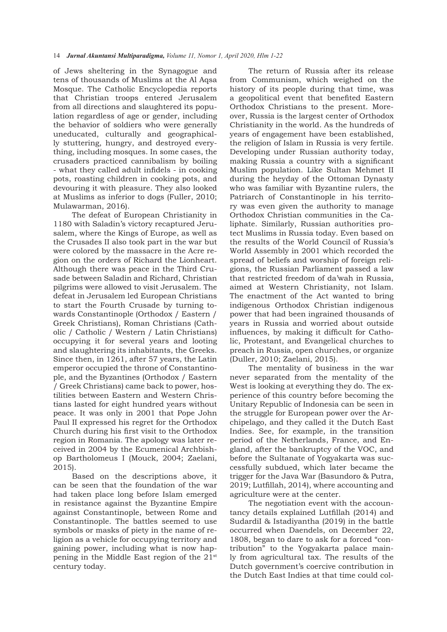of Jews sheltering in the Synagogue and tens of thousands of Muslims at the Al Aqsa Mosque. The Catholic Encyclopedia reports that Christian troops entered Jerusalem from all directions and slaughtered its population regardless of age or gender, including the behavior of soldiers who were generally uneducated, culturally and geographically stuttering, hungry, and destroyed everything, including mosques. In some cases, the crusaders practiced cannibalism by boiling - what they called adult infidels - in cooking pots, roasting children in cooking pots, and devouring it with pleasure. They also looked at Muslims as inferior to dogs (Fuller, 2010; Mulawarman, 2016).

The defeat of European Christianity in 1180 with Saladin's victory recaptured Jerusalem, where the Kings of Europe, as well as the Crusades II also took part in the war but were colored by the massacre in the Acre region on the orders of Richard the Lionheart. Although there was peace in the Third Crusade between Saladin and Richard, Christian pilgrims were allowed to visit Jerusalem. The defeat in Jerusalem led European Christians to start the Fourth Crusade by turning towards Constantinople (Orthodox / Eastern / Greek Christians), Roman Christians (Catholic / Catholic / Western / Latin Christians) occupying it for several years and looting and slaughtering its inhabitants, the Greeks. Since then, in 1261, after 57 years, the Latin emperor occupied the throne of Constantinople, and the Byzantines (Orthodox / Eastern / Greek Christians) came back to power, hostilities between Eastern and Western Christians lasted for eight hundred years without peace. It was only in 2001 that Pope John Paul II expressed his regret for the Orthodox Church during his first visit to the Orthodox region in Romania. The apology was later received in 2004 by the Ecumenical Archbishop Bartholomeus I (Mouck, 2004; Zaelani, 2015).

Based on the descriptions above, it can be seen that the foundation of the war had taken place long before Islam emerged in resistance against the Byzantine Empire against Constantinople, between Rome and Constantinople. The battles seemed to use symbols or masks of piety in the name of religion as a vehicle for occupying territory and gaining power, including what is now happening in the Middle East region of the 21st century today.

The return of Russia after its release from Communism, which weighed on the history of its people during that time, was a geopolitical event that benefited Eastern Orthodox Christians to the present. Moreover, Russia is the largest center of Orthodox Christianity in the world. As the hundreds of years of engagement have been established, the religion of Islam in Russia is very fertile. Developing under Russian authority today, making Russia a country with a significant Muslim population. Like Sultan Mehmet II during the heyday of the Ottoman Dynasty who was familiar with Byzantine rulers, the Patriarch of Constantinople in his territory was even given the authority to manage Orthodox Christian communities in the Caliphate. Similarly, Russian authorities protect Muslims in Russia today. Even based on the results of the World Council of Russia's World Assembly in 2001 which recorded the spread of beliefs and worship of foreign religions, the Russian Parliament passed a law that restricted freedom of da'wah in Russia, aimed at Western Christianity, not Islam. The enactment of the Act wanted to bring indigenous Orthodox Christian indigenous power that had been ingrained thousands of years in Russia and worried about outside influences, by making it difficult for Catholic, Protestant, and Evangelical churches to preach in Russia, open churches, or organize (Duller, 2010; Zaelani, 2015).

The mentality of business in the war never separated from the mentality of the West is looking at everything they do. The experience of this country before becoming the Unitary Republic of Indonesia can be seen in the struggle for European power over the Archipelago, and they called it the Dutch East Indies. See, for example, in the transition period of the Netherlands, France, and England, after the bankruptcy of the VOC, and before the Sultanate of Yogyakarta was successfully subdued, which later became the trigger for the Java War (Basundoro & Putra, 2019; Lutfillah, 2014), where accounting and agriculture were at the center.

The negotiation event with the accountancy details explained Lutfillah (2014) and SudardiI & Istadiyantha (2019) in the battle occurred when Daendels, on December 22, 1808, began to dare to ask for a forced "contribution" to the Yogyakarta palace mainly from agricultural tax. The results of the Dutch government's coercive contribution in the Dutch East Indies at that time could col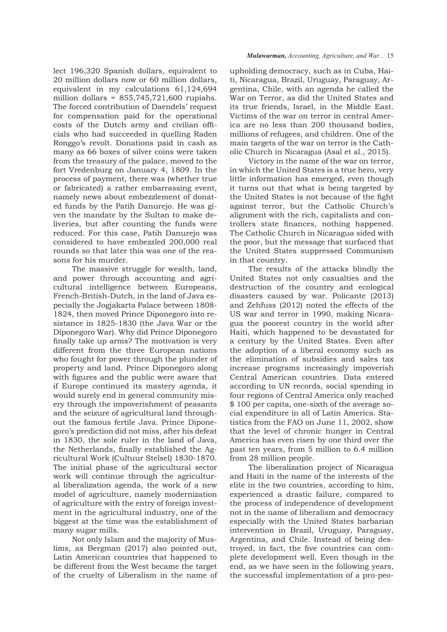lect 196,320 Spanish dollars, equivalent to 20 million dollars now or 60 million dollars, equivalent in my calculations 61,124,694 million dollars =  $855,745,721,600$  rupiahs. The forced contribution of Daendels' request for compensation paid for the operational costs of the Dutch army and civilian officials who had succeeded in quelling Raden Ronggo's revolt. Donations paid in cash as many as 66 boxes of silver coins were taken from the treasury of the palace, moved to the fort Vredenburg on January 4, 1809. In the process of payment, there was (whether true or fabricated) a rather embarrassing event, namely news about embezzlement of donated funds by the Patih Danurejo. He was given the mandate by the Sultan to make deliveries, but after counting the funds were reduced. For this case, Patih Danurejo was considered to have embezzled 200,000 real rounds so that later this was one of the reasons for his murder.

The massive struggle for wealth, land, and power through accounting and agricultural intelligence between Europeans, French-British-Dutch, in the land of Java especially the Jogjakarta Palace between 1808-1824, then moved Prince Diponegoro into resistance in 1825-1830 (the Java War or the Diponegoro War). Why did Prince Diponegoro finally take up arms? The motivation is very different from the three European nations who fought for power through the plunder of property and land. Prince Diponegoro along with figures and the public were aware that if Europe continued its mastery agenda, it would surely end in general community misery through the impoverishment of peasants and the seizure of agricultural land throughout the famous fertile Java. Prince Diponegoro's prediction did not miss, after his defeat in 1830, the sole ruler in the land of Java, the Netherlands, finally established the Agricultural Work (Cultuur Stelsel) 1830-1870. The initial phase of the agricultural sector work will continue through the agricultural liberalization agenda, the work of a new model of agriculture, namely modernization of agriculture with the entry of foreign investment in the agricultural industry, one of the biggest at the time was the establishment of many sugar mills.

Not only Islam and the majority of Muslims, as Bergman (2017) also pointed out, Latin American countries that happened to be different from the West became the target of the cruelty of Liberalism in the name of

### *Mulawarman, Accounting, Agriculture, and War...* 15

upholding democracy, such as in Cuba, Haiti, Nicaragua, Brazil, Uruguay, Paraguay, Argentina, Chile, with an agenda he called the War on Terror, as did the United States and its true friends, Israel, in the Middle East. Victims of the war on terror in central America are no less than 200 thousand bodies, millions of refugees, and children. One of the main targets of the war on terror is the Catholic Church in Nicaragua (Asal et al., 2015).

Victory in the name of the war on terror, in which the United States is a true hero, very little information has emerged, even though it turns out that what is being targeted by the United States is not because of the fight against terror, but the Catholic Church's alignment with the rich, capitalists and controllers state finances, nothing happened. The Catholic Church in Nicaragua sided with the poor, but the message that surfaced that the United States suppressed Communism in that country.

The results of the attacks blindly the United States not only casualties and the destruction of the country and ecological disasters caused by war. Policante (2013) and Zehfuss (2012) noted the effects of the US war and terror in 1990, making Nicaragua the poorest country in the world after Haiti, which happened to be devastated for a century by the United States. Even after the adoption of a liberal economy such as the elimination of subsidies and sales tax increase programs increasingly impoverish Central American countries. Data entered according to UN records, social spending in four regions of Central America only reached \$ 100 per capita, one-sixth of the average social expenditure in all of Latin America. Statistics from the FAO on June 11, 2002, show that the level of chronic hunger in Central America has even risen by one third over the past ten years, from 5 million to 6.4 million from 28 million people.

The liberalization project of Nicaragua and Haiti in the name of the interests of the elite in the two countries, according to him, experienced a drastic failure, compared to the process of independence of development not in the name of liberalism and democracy especially with the United States barbarian intervention in Brazil, Uruguay, Paraguay, Argentina, and Chile. Instead of being destroyed, in fact, the five countries can complete development well. Even though in the end, as we have seen in the following years, the successful implementation of a pro-peo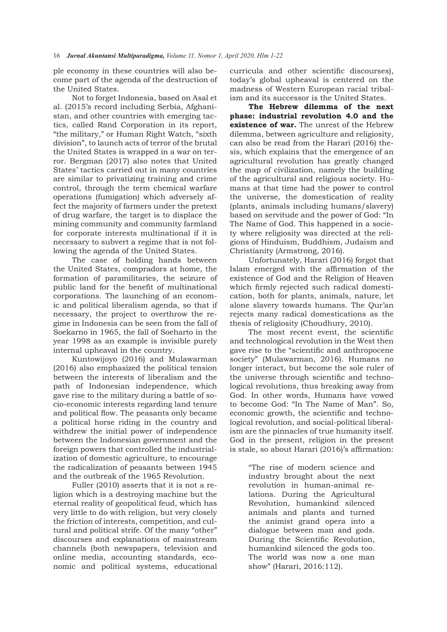ple economy in these countries will also become part of the agenda of the destruction of the United States.

Not to forget Indonesia, based on Asal et al. (2015's record including Serbia, Afghanistan, and other countries with emerging tactics, called Rand Corporation in its report, "the military," or Human Right Watch, "sixth division", to launch acts of terror of the brutal the United States is wrapped in a war on terror. Bergman (2017) also notes that United States' tactics carried out in many countries are similar to privatizing training and crime control, through the term chemical warfare operations (fumigation) which adversely affect the majority of farmers under the pretext of drug warfare, the target is to displace the mining community and community farmland for corporate interests multinational if it is necessary to subvert a regime that is not following the agenda of the United States.

The case of holding hands between the United States, compradors at home, the formation of paramilitaries, the seizure of public land for the benefit of multinational corporations. The launching of an economic and political liberalism agenda, so that if necessary, the project to overthrow the regime in Indonesia can be seen from the fall of Soekarno in 1965, the fall of Soeharto in the year 1998 as an example is invisible purely internal upheaval in the country.

Kuntowijoyo (2016) and Mulawarman (2016) also emphasized the political tension between the interests of liberalism and the path of Indonesian independence, which gave rise to the military during a battle of socio-economic interests regarding land tenure and political flow. The peasants only became a political horse riding in the country and withdrew the initial power of independence between the Indonesian government and the foreign powers that controlled the industrialization of domestic agriculture, to encourage the radicalization of peasants between 1945 and the outbreak of the 1965 Revolution.

Fuller (2010) asserts that it is not a religion which is a destroying machine but the eternal reality of geopolitical feud, which has very little to do with religion, but very closely the friction of interests, competition, and cultural and political strife. Of the many "other" discourses and explanations of mainstream channels (both newspapers, television and online media, accounting standards, economic and political systems, educational

curricula and other scientific discourses), today's global upheaval is centered on the madness of Western European racial tribalism and its successor is the United States.

**The Hebrew dilemma of the next phase: industrial revolution 4.0 and the existence of war.** The unrest of the Hebrew dilemma, between agriculture and religiosity, can also be read from the Harari (2016) thesis, which explains that the emergence of an agricultural revolution has greatly changed the map of civilization, namely the building of the agricultural and religious society. Humans at that time had the power to control the universe, the domestication of reality (plants, animals including humans/slavery) based on servitude and the power of God: "In The Name of God. This happened in a society where religiosity was directed at the religions of Hinduism, Buddhism, Judaism and Christianity (Armstrong, 2016).

Unfortunately, Harari (2016) forgot that Islam emerged with the affirmation of the existence of God and the Religion of Heaven which firmly rejected such radical domestication, both for plants, animals, nature, let alone slavery towards humans. The Qur'an rejects many radical domestications as the thesis of religiosity (Choudhury, 2010).

The most recent event, the scientific and technological revolution in the West then gave rise to the "scientific and anthropocene society" (Mulawarman, 2016). Humans no longer interact, but become the sole ruler of the universe through scientific and technological revolutions, thus breaking away from God. In other words, Humans have vowed to become God: "In The Name of Man". So, economic growth, the scientific and technological revolution, and social-political liberalism are the pinnacles of true humanity itself. God in the present, religion in the present is stale, so about Harari (2016)'s affirmation:

> "The rise of modern science and industry brought about the next revolution in human-animal relations. During the Agricultural Revolution, humankind silenced animals and plants and turned the animist grand opera into a dialogue between man and gods. During the Scientific Revolution, humankind silenced the gods too. The world was now a one man show" (Harari, 2016:112).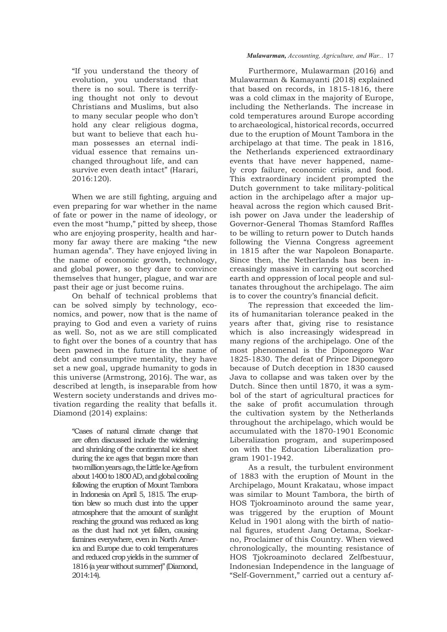"If you understand the theory of evolution, you understand that there is no soul. There is terrifying thought not only to devout Christians and Muslims, but also to many secular people who don't hold any clear religious dogma, but want to believe that each human possesses an eternal individual essence that remains unchanged throughout life, and can survive even death intact" (Harari, 2016:120).

When we are still fighting, arguing and even preparing for war whether in the name of fate or power in the name of ideology, or even the most "hump," pitted by sheep, those who are enjoying prosperity, health and harmony far away there are making "the new human agenda". They have enjoyed living in the name of economic growth, technology, and global power, so they dare to convince themselves that hunger, plague, and war are past their age or just become ruins.

On behalf of technical problems that can be solved simply by technology, economics, and power, now that is the name of praying to God and even a variety of ruins as well. So, not as we are still complicated to fight over the bones of a country that has been pawned in the future in the name of debt and consumptive mentality, they have set a new goal, upgrade humanity to gods in this universe (Armstrong, 2016). The war, as described at length, is inseparable from how Western society understands and drives motivation regarding the reality that befalls it. Diamond (2014) explains:

> "Cases of natural climate change that are often discussed include the widening and shrinking of the continental ice sheet during the ice ages that began more than two million years ago, the Little Ice Age from about 1400 to 1800 AD, and global cooling following the eruption of Mount Tambora in Indonesia on April 5, 1815. The eruption blew so much dust into the upper atmosphere that the amount of sunlight reaching the ground was reduced as long as the dust had not yet fallen, causing famines everywhere, even in North America and Europe due to cold temperatures and reduced crop yields in the summer of 1816 (a year without summer)" (Diamond, 2014:14).

## *Mulawarman, Accounting, Agriculture, and War...* 17

Furthermore, Mulawarman (2016) and Mulawarman & Kamayanti (2018) explained that based on records, in 1815-1816, there was a cold climax in the majority of Europe, including the Netherlands. The increase in cold temperatures around Europe according to archaeological, historical records, occurred due to the eruption of Mount Tambora in the archipelago at that time. The peak in 1816, the Netherlands experienced extraordinary events that have never happened, namely crop failure, economic crisis, and food. This extraordinary incident prompted the Dutch government to take military-political action in the archipelago after a major upheaval across the region which caused British power on Java under the leadership of Governor-General Thomas Stamford Raffles to be willing to return power to Dutch hands following the Vienna Congress agreement in 1815 after the war Napoleon Bonaparte. Since then, the Netherlands has been increasingly massive in carrying out scorched earth and oppression of local people and sultanates throughout the archipelago. The aim is to cover the country's financial deficit.

The repression that exceeded the limits of humanitarian tolerance peaked in the years after that, giving rise to resistance which is also increasingly widespread in many regions of the archipelago. One of the most phenomenal is the Diponegoro War 1825-1830. The defeat of Prince Diponegoro because of Dutch deception in 1830 caused Java to collapse and was taken over by the Dutch. Since then until 1870, it was a symbol of the start of agricultural practices for the sake of profit accumulation through the cultivation system by the Netherlands throughout the archipelago, which would be accumulated with the 1870-1901 Economic Liberalization program, and superimposed on with the Education Liberalization program 1901-1942.

As a result, the turbulent environment of 1883 with the eruption of Mount in the Archipelago, Mount Krakatau, whose impact was similar to Mount Tambora, the birth of HOS Tjokroaminoto around the same year, was triggered by the eruption of Mount Kelud in 1901 along with the birth of national figures, student Jang Oetama, Soekarno, Proclaimer of this Country. When viewed chronologically, the mounting resistance of HOS Tjokroaminoto declared Zelfbestuur, Indonesian Independence in the language of "Self-Government," carried out a century af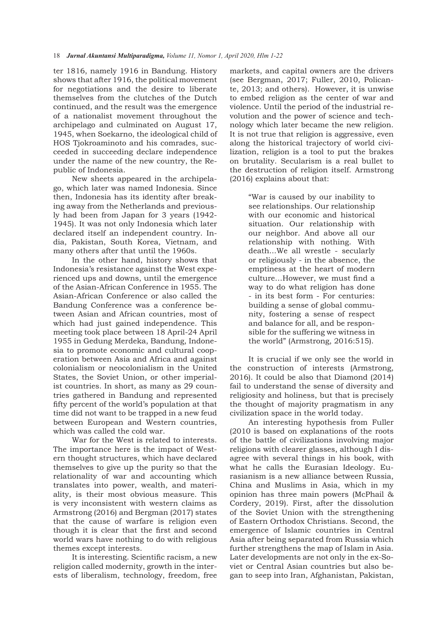ter 1816, namely 1916 in Bandung. History shows that after 1916, the political movement for negotiations and the desire to liberate themselves from the clutches of the Dutch continued, and the result was the emergence of a nationalist movement throughout the archipelago and culminated on August 17, 1945, when Soekarno, the ideological child of HOS Tjokroaminoto and his comrades, succeeded in succeeding declare independence under the name of the new country, the Republic of Indonesia.

New sheets appeared in the archipelago, which later was named Indonesia. Since then, Indonesia has its identity after breaking away from the Netherlands and previously had been from Japan for 3 years (1942-1945). It was not only Indonesia which later declared itself an independent country. India, Pakistan, South Korea, Vietnam, and many others after that until the 1960s.

In the other hand, history shows that Indonesia's resistance against the West experienced ups and downs, until the emergence of the Asian-African Conference in 1955. The Asian-African Conference or also called the Bandung Conference was a conference between Asian and African countries, most of which had just gained independence. This meeting took place between 18 April-24 April 1955 in Gedung Merdeka, Bandung, Indonesia to promote economic and cultural cooperation between Asia and Africa and against colonialism or neocolonialism in the United States, the Soviet Union, or other imperialist countries. In short, as many as 29 countries gathered in Bandung and represented fifty percent of the world's population at that time did not want to be trapped in a new feud between European and Western countries, which was called the cold war.

War for the West is related to interests. The importance here is the impact of Western thought structures, which have declared themselves to give up the purity so that the relationality of war and accounting which translates into power, wealth, and materiality, is their most obvious measure. This is very inconsistent with western claims as Armstrong (2016) and Bergman (2017) states that the cause of warfare is religion even though it is clear that the first and second world wars have nothing to do with religious themes except interests.

It is interesting. Scientific racism, a new religion called modernity, growth in the interests of liberalism, technology, freedom, free markets, and capital owners are the drivers (see Bergman, 2017; Fuller, 2010, Policante, 2013; and others). However, it is unwise to embed religion as the center of war and violence. Until the period of the industrial revolution and the power of science and technology which later became the new religion. It is not true that religion is aggressive, even along the historical trajectory of world civilization, religion is a tool to put the brakes on brutality. Secularism is a real bullet to the destruction of religion itself. Armstrong (2016) explains about that:

> "War is caused by our inability to see relationships. Our relationship with our economic and historical situation. Our relationship with our neighbor. And above all our relationship with nothing. With death...We all wrestle - secularly or religiously - in the absence, the emptiness at the heart of modern culture…However, we must find a way to do what religion has done - in its best form - For centuries: building a sense of global community, fostering a sense of respect and balance for all, and be responsible for the suffering we witness in the world" (Armstrong, 2016:515).

It is crucial if we only see the world in the construction of interests (Armstrong, 2016). It could be also that Diamond (2014) fail to understand the sense of diversity and religiosity and holiness, but that is precisely the thought of majority pragmatism in any civilization space in the world today.

An interesting hypothesis from Fuller (2010 is based on explanations of the roots of the battle of civilizations involving major religions with clearer glasses, although I disagree with several things in his book, with what he calls the Eurasian Ideology. Eurasianism is a new alliance between Russia, China and Muslims in Asia, which in my opinion has three main powers (McPhail & Cordery, 2019). First, after the dissolution of the Soviet Union with the strengthening of Eastern Orthodox Christians. Second, the emergence of Islamic countries in Central Asia after being separated from Russia which further strengthens the map of Islam in Asia. Later developments are not only in the ex-Soviet or Central Asian countries but also began to seep into Iran, Afghanistan, Pakistan,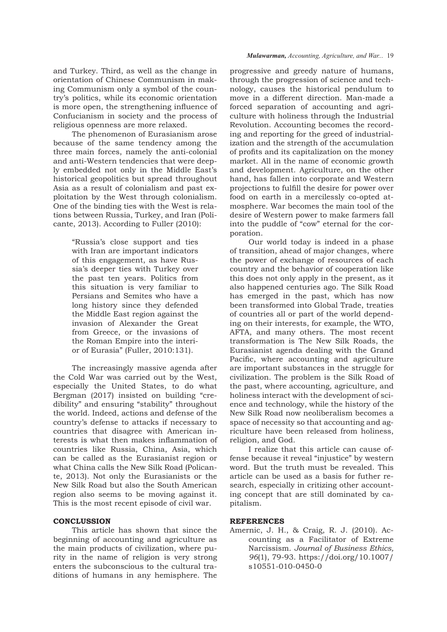and Turkey. Third, as well as the change in orientation of Chinese Communism in making Communism only a symbol of the country's politics, while its economic orientation is more open, the strengthening influence of Confucianism in society and the process of religious openness are more relaxed.

The phenomenon of Eurasianism arose because of the same tendency among the three main forces, namely the anti-colonial and anti-Western tendencies that were deeply embedded not only in the Middle East's historical geopolitics but spread throughout Asia as a result of colonialism and past exploitation by the West through colonialism. One of the binding ties with the West is relations between Russia, Turkey, and Iran (Policante, 2013). According to Fuller (2010):

> "Russia's close support and ties with Iran are important indicators of this engagement, as have Russia's deeper ties with Turkey over the past ten years. Politics from this situation is very familiar to Persians and Semites who have a long history since they defended the Middle East region against the invasion of Alexander the Great from Greece, or the invasions of the Roman Empire into the interior of Eurasia" (Fuller, 2010:131).

The increasingly massive agenda after the Cold War was carried out by the West, especially the United States, to do what Bergman (2017) insisted on building "credibility" and ensuring "stability" throughout the world. Indeed, actions and defense of the country's defense to attacks if necessary to countries that disagree with American interests is what then makes inflammation of countries like Russia, China, Asia, which can be called as the Eurasianist region or what China calls the New Silk Road (Policante, 2013). Not only the Eurasianists or the New Silk Road but also the South American region also seems to be moving against it. This is the most recent episode of civil war.

## **CONCLUSSION**

This article has shown that since the beginning of accounting and agriculture as the main products of civilization, where purity in the name of religion is very strong enters the subconscious to the cultural traditions of humans in any hemisphere. The

#### *Mulawarman, Accounting, Agriculture, and War...* 19

progressive and greedy nature of humans, through the progression of science and technology, causes the historical pendulum to move in a different direction. Man-made a forced separation of accounting and agriculture with holiness through the Industrial Revolution. Accounting becomes the recording and reporting for the greed of industrialization and the strength of the accumulation of profits and its capitalization on the money market. All in the name of economic growth and development. Agriculture, on the other hand, has fallen into corporate and Western projections to fulfill the desire for power over food on earth in a mercilessly co-opted atmosphere. War becomes the main tool of the desire of Western power to make farmers fall into the puddle of "cow" eternal for the corporation.

Our world today is indeed in a phase of transition, ahead of major changes, where the power of exchange of resources of each country and the behavior of cooperation like this does not only apply in the present, as it also happened centuries ago. The Silk Road has emerged in the past, which has now been transformed into Global Trade, treaties of countries all or part of the world depending on their interests, for example, the WTO, AFTA, and many others. The most recent transformation is The New Silk Roads, the Eurasianist agenda dealing with the Grand Pacific, where accounting and agriculture are important substances in the struggle for civilization. The problem is the Silk Road of the past, where accounting, agriculture, and holiness interact with the development of science and technology, while the history of the New Silk Road now neoliberalism becomes a space of necessity so that accounting and agriculture have been released from holiness, religion, and God.

I realize that this article can cause offense because it reveal "injustice" by western word. But the truth must be revealed. This article can be used as a basis for futher research, especially in critizing other accounting concept that are still dominated by capitalism.

## **REFERENCES**

Amernic, J. H., & Craig, R. J. (2010). Accounting as a Facilitator of Extreme Narcissism. *Journal of Business Ethics, 96*(1), 79-93. https://doi.org/10.1007/ s10551-010-0450-0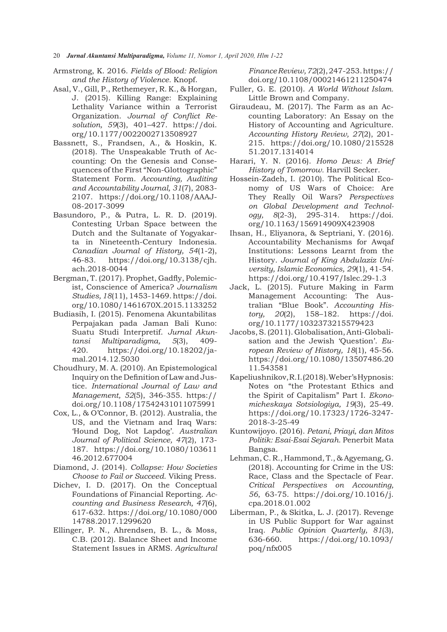- 20*Jurnal Akuntansi Multiparadigma, Volume 11, Nomor 1, April 2020, Hlm 1-22*
- Armstrong, K. 2016. *Fields of Blood: Religion and the History of Violence.* Knopf.
- Asal, V., Gill, P., Rethemeyer, R. K., & Horgan, J. (2015). Killing Range: Explaining Lethality Variance within a Terrorist Organization. *Journal of Conflict Resolution, 59*(3), 401–427. https://doi. org/10.1177/0022002713508927
- Bassnett, S., Frandsen, A., & Hoskin, K. (2018). The Unspeakable Truth of Accounting: On the Genesis and Consequences of the First "Non-Glottographic" Statement Form. *Accounting, Auditing and Accountability Journal, 31*(7), 2083-2107. https://doi.org/10.1108/AAAJ-08-2017-3099
- Basundoro, P., & Putra, L. R. D. (2019). Contesting Urban Space between the Dutch and the Sultanate of Yogyakarta in Nineteenth-Century Indonesia. *Canadian Journal of History, 54*(1-2), 46-83. https://doi.org/10.3138/cjh. ach.2018-0044
- Bergman, T. (2017). Prophet, Gadfly, Polemicist, Conscience of America? *Journalism Studies, 18*(11), 1453-1469. https://doi. org/10.1080/1461670X.2015.1133252
- Budiasih, I. (2015). Fenomena Akuntabilitas Perpajakan pada Jaman Bali Kuno: Suatu Studi Interpretif. *Jurnal Akuntansi Multiparadigma, 5*(3), 409-420. https://doi.org/10.18202/jamal.2014.12.5030
- Choudhury, M. A. (2010). An Epistemological Inquiry on the Definition of Law and Justice. *International Journal of Law and Management, 52*(5), 346-355. https:// doi.org/10.1108/17542431011075991
- Cox, L., & O'Connor, B. (2012). Australia, the US, and the Vietnam and Iraq Wars: 'Hound Dog, Not Lapdog'. *Australian Journal of Political Science, 47*(2), 173-187. https://doi.org/10.1080/103611 46.2012.677004
- Diamond, J. (2014). *Collapse: How Societies Choose to Fail or Succeed.* Viking Press.
- Dichev, I. D. (2017). On the Conceptual Foundations of Financial Reporting. *Accounting and Business Research, 47*(6), 617-632. https://doi.org/10.1080/000 14788.2017.1299620
- Ellinger, P. N., Ahrendsen, B. L., & Moss, C.B. (2012). Balance Sheet and Income Statement Issues in ARMS. *Agricultural*

*Finance Review, 72*(2), 247-253. https:// doi.org/10.1108/00021461211250474

- Fuller, G. E. (2010). *A World Without Islam.*  Little Brown and Company.
- Giraudeau, M. (2017). The Farm as an Accounting Laboratory: An Essay on the History of Accounting and Agriculture. *Accounting History Review, 27*(2), 201-215. https://doi.org/10.1080/215528 51.2017.1314014
- Harari, Y. N. (2016). *Homo Deus: A Brief History of Tomorrow.* Harvill Secker.
- Hossein-Zadeh, I. (2010). The Political Economy of US Wars of Choice: Are They Really Oil Wars? *Perspectives on Global Development and Technology, 8*(2-3), 295-314. https://doi. org/10.1163/156914909X423908
- Ihsan, H., Eliyanora, & Septriani, Y. (2016). Accountability Mechanisms for Awqaf Institutions: Lessons Learnt from the History. *Journal of King Abdulaziz University, Islamic Economics, 29*(1), 41-54. https://doi.org/10.4197/Islec.29-1.3
- Jack, L. (2015). Future Making in Farm Management Accounting: The Australian "Blue Book". *Accounting History, 20*(2), 158–182. https://doi. org/10.1177/1032373215579423
- Jacobs, S. (2011). Globalisation, Anti-Globalisation and the Jewish 'Question'. *European Review of History, 18*(1), 45-56. https://doi.org/10.1080/13507486.20 11.543581
- Kapeliushnikov, R. I. (2018). Weber's Hypnosis: Notes on "the Protestant Ethics and the Spirit of Capitalism" Part I. *Ekonomicheskaya Sotsiologiya, 19*(3), 25-49. https://doi.org/10.17323/1726-3247-2018-3-25-49
- Kuntowijoyo. (2016). *Petani, Priayi, dan Mitos Politik: Esai-Esai Sejarah.* Penerbit Mata Bangsa.
- Lehman, C. R., Hammond, T., & Agyemang, G. (2018). Accounting for Crime in the US: Race, Class and the Spectacle of Fear. *Critical Perspectives on Accounting, 56*, 63-75. https://doi.org/10.1016/j. cpa.2018.01.002
- Liberman, P., & Skitka, L. J. (2017). Revenge in US Public Support for War against Iraq. *Public Opinion Quarterly, 81*(3), 636-660. https://doi.org/10.1093/ poq/nfx005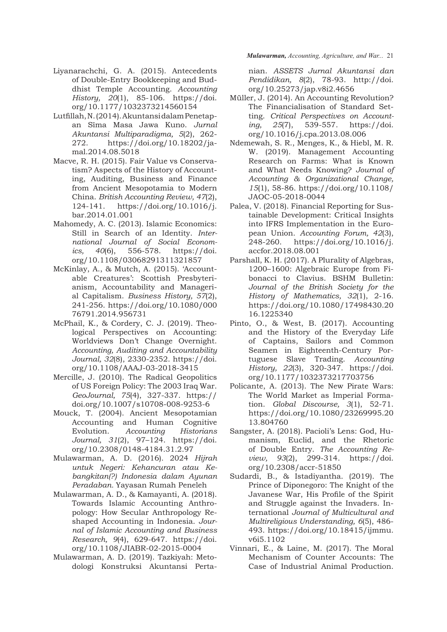- Liyanarachchi, G. A. (2015). Antecedents of Double-Entry Bookkeeping and Buddhist Temple Accounting. *Accounting History, 20*(1), 85-106. https://doi. org/10.1177/1032373214560154
- Lutfillah, N. (2014). Akuntansi dalam Penetapan Sĩma Masa Jawa Kuno. *Jurnal Akuntansi Multiparadigma, 5*(2), 262-272. https://doi.org/10.18202/jamal.2014.08.5018
- Macve, R. H. (2015). Fair Value vs Conservatism? Aspects of the History of Accounting, Auditing, Business and Finance from Ancient Mesopotamia to Modern China. *British Accounting Review, 47*(2), 124-141. https://doi.org/10.1016/j. bar.2014.01.001
- Mahomedy, A. C. (2013). Islamic Economics: Still in Search of an Identity. *International Journal of Social Economics, 40*(6), 556-578. https://doi. org/10.1108/03068291311321857
- McKinlay, A., & Mutch, A. (2015). 'Accountable Creatures': Scottish Presbyterianism, Accountability and Managerial Capitalism. *Business History, 57*(2), 241-256. https://doi.org/10.1080/000 76791.2014.956731
- McPhail, K., & Cordery, C. J. (2019). Theological Perspectives on Accounting: Worldviews Don't Change Overnight. *Accounting, Auditing and Accountability Journal, 32*(8), 2330-2352. https://doi. org/10.1108/AAAJ-03-2018-3415
- Mercille, J. (2010). The Radical Geopolitics of US Foreign Policy: The 2003 Iraq War. *GeoJournal, 75*(4), 327-337. https:// doi.org/10.1007/s10708-008-9253-6
- Mouck, T. (2004). Ancient Mesopotamian Accounting and Human Cognitive Evolution. *Accounting Historians Journal, 31*(2), 97–124. https://doi. org/10.2308/0148-4184.31.2.97
- Mulawarman, A. D. (2016). 2024 *Hijrah untuk Negeri: Kehancuran atau Kebangkitan(?) Indonesia dalam Ayunan Peradaban.* Yayasan Rumah Peneleh
- Mulawarman, A. D., & Kamayanti, A. (2018). Towards Islamic Accounting Anthropology: How Secular Anthropology Reshaped Accounting in Indonesia. *Journal of Islamic Accounting and Business Research, 9*(4), 629-647. https://doi. org/10.1108/JIABR-02-2015-0004
- Mulawarman, A. D. (2019). Tazkiyah: Metodologi Konstruksi Akuntansi Perta-

*Mulawarman, Accounting, Agriculture, and War...* 21

nian. *ASSETS Jurnal Akuntansi dan Pendidikan, 8*(2), 78-93. http://doi. org/10.25273/jap.v8i2.4656

- Müller, J. (2014). An Accounting Revolution? The Financialisation of Standard Setting. *Critical Perspectives on Accounting, 25*(7), 539-557. https://doi. org/10.1016/j.cpa.2013.08.006
- Ndemewah, S. R., Menges, K., & Hiebl, M. R. W. (2019). Management Accounting Research on Farms: What is Known and What Needs Knowing? *Journal of Accounting & Organizational Change, 15*(1), 58-86. https://doi.org/10.1108/ JAOC-05-2018-0044
- Palea, V. (2018). Financial Reporting for Sustainable Development: Critical Insights into IFRS Implementation in the European Union. *Accounting Forum, 42*(3), 248-260. https://doi.org/10.1016/j. accfor.2018.08.001
- Parshall, K. H. (2017). A Plurality of Algebras, 1200–1600: Algebraic Europe from Fibonacci to Clavius. BSHM Bulletin: *Journal of the British Society for the History of Mathematics, 32*(1), 2-16. https://doi.org/10.1080/17498430.20 16.1225340
- Pinto, O., & West, B. (2017). Accounting and the History of the Everyday Life of Captains, Sailors and Common Seamen in Eighteenth-Century Portuguese Slave Trading. *Accounting History, 22*(3), 320-347. https://doi. org/10.1177/1032373217703756
- Policante, A. (2013). The New Pirate Wars: The World Market as Imperial Formation. *Global Discourse, 3*(1), 52-71. https://doi.org/10.1080/23269995.20 13.804760
- Sangster, A. (2018). Pacioli's Lens: God, Humanism, Euclid, and the Rhetoric of Double Entry. *The Accounting Review, 93*(2), 299-314. https://doi. org/10.2308/accr-51850
- Sudardi, B., & Istadiyantha. (2019). The Prince of Diponegoro: The Knight of the Javanese War, His Profile of the Spirit and Struggle against the Invaders. International *Journal of Multicultural and Multireligious Understanding, 6*(5), 486-493. https://doi.org/10.18415/ijmmu. v6i5.1102
- Vinnari, E., & Laine, M. (2017). The Moral Mechanism of Counter Accounts: The Case of Industrial Animal Production.